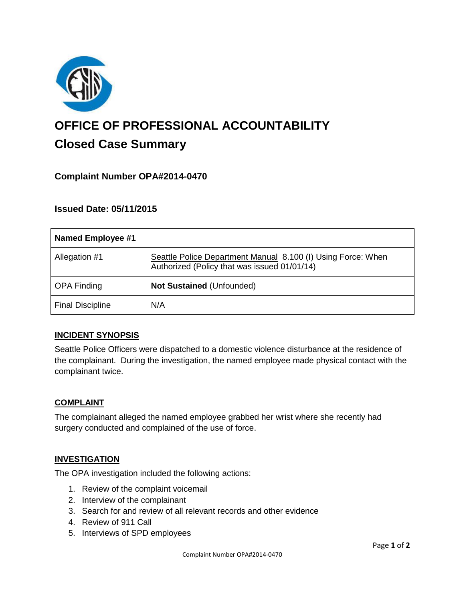

# **OFFICE OF PROFESSIONAL ACCOUNTABILITY Closed Case Summary**

# **Complaint Number OPA#2014-0470**

## **Issued Date: 05/11/2015**

| Named Employee #1       |                                                                                                              |
|-------------------------|--------------------------------------------------------------------------------------------------------------|
| Allegation #1           | Seattle Police Department Manual 8.100 (I) Using Force: When<br>Authorized (Policy that was issued 01/01/14) |
| <b>OPA Finding</b>      | Not Sustained (Unfounded)                                                                                    |
| <b>Final Discipline</b> | N/A                                                                                                          |

## **INCIDENT SYNOPSIS**

Seattle Police Officers were dispatched to a domestic violence disturbance at the residence of the complainant. During the investigation, the named employee made physical contact with the complainant twice.

#### **COMPLAINT**

The complainant alleged the named employee grabbed her wrist where she recently had surgery conducted and complained of the use of force.

#### **INVESTIGATION**

The OPA investigation included the following actions:

- 1. Review of the complaint voicemail
- 2. Interview of the complainant
- 3. Search for and review of all relevant records and other evidence
- 4. Review of 911 Call
- 5. Interviews of SPD employees